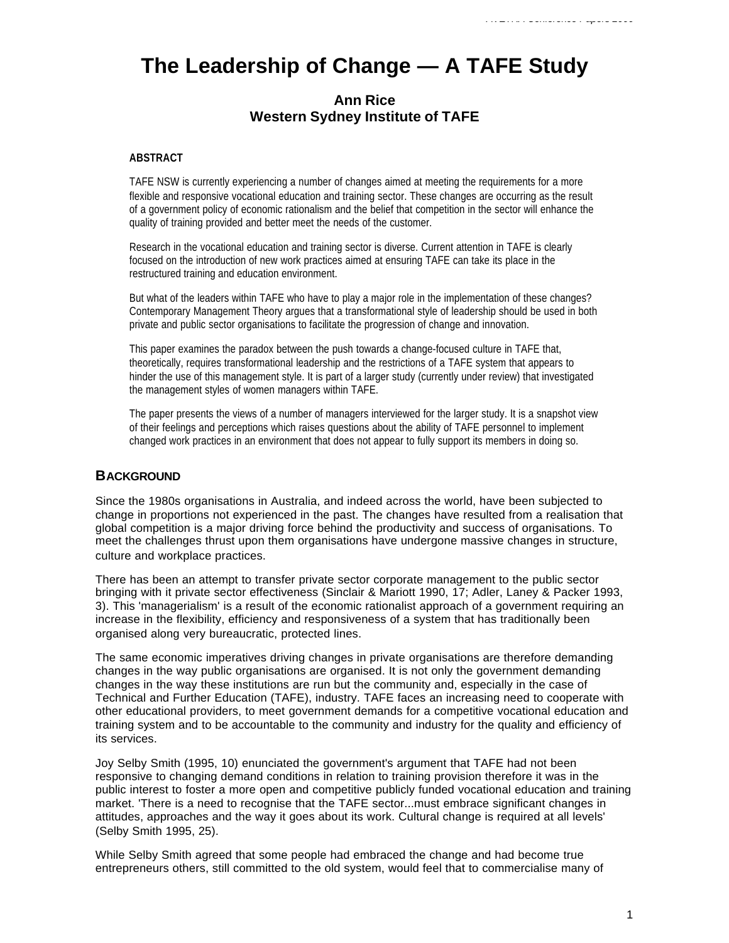# **The Leadership of Change — A TAFE Study**

## **Ann Rice Western Sydney Institute of TAFE**

#### **ABSTRACT**

TAFE NSW is currently experiencing a number of changes aimed at meeting the requirements for a more flexible and responsive vocational education and training sector. These changes are occurring as the result of a government policy of economic rationalism and the belief that competition in the sector will enhance the quality of training provided and better meet the needs of the customer.

Research in the vocational education and training sector is diverse. Current attention in TAFE is clearly focused on the introduction of new work practices aimed at ensuring TAFE can take its place in the restructured training and education environment.

But what of the leaders within TAFE who have to play a major role in the implementation of these changes? Contemporary Management Theory argues that a transformational style of leadership should be used in both private and public sector organisations to facilitate the progression of change and innovation.

This paper examines the paradox between the push towards a change-focused culture in TAFE that, theoretically, requires transformational leadership and the restrictions of a TAFE system that appears to hinder the use of this management style. It is part of a larger study (currently under review) that investigated the management styles of women managers within TAFE.

The paper presents the views of a number of managers interviewed for the larger study. It is a snapshot view of their feelings and perceptions which raises questions about the ability of TAFE personnel to implement changed work practices in an environment that does not appear to fully support its members in doing so.

#### **BACKGROUND**

Since the 1980s organisations in Australia, and indeed across the world, have been subjected to change in proportions not experienced in the past. The changes have resulted from a realisation that global competition is a major driving force behind the productivity and success of organisations. To meet the challenges thrust upon them organisations have undergone massive changes in structure, culture and workplace practices.

There has been an attempt to transfer private sector corporate management to the public sector bringing with it private sector effectiveness (Sinclair & Mariott 1990, 17; Adler, Laney & Packer 1993, 3). This 'managerialism' is a result of the economic rationalist approach of a government requiring an increase in the flexibility, efficiency and responsiveness of a system that has traditionally been organised along very bureaucratic, protected lines.

The same economic imperatives driving changes in private organisations are therefore demanding changes in the way public organisations are organised. It is not only the government demanding changes in the way these institutions are run but the community and, especially in the case of Technical and Further Education (TAFE), industry. TAFE faces an increasing need to cooperate with other educational providers, to meet government demands for a competitive vocational education and training system and to be accountable to the community and industry for the quality and efficiency of its services.

Joy Selby Smith (1995, 10) enunciated the government's argument that TAFE had not been responsive to changing demand conditions in relation to training provision therefore it was in the public interest to foster a more open and competitive publicly funded vocational education and training market. 'There is a need to recognise that the TAFE sector...must embrace significant changes in attitudes, approaches and the way it goes about its work. Cultural change is required at all levels' (Selby Smith 1995, 25).

While Selby Smith agreed that some people had embraced the change and had become true entrepreneurs others, still committed to the old system, would feel that to commercialise many of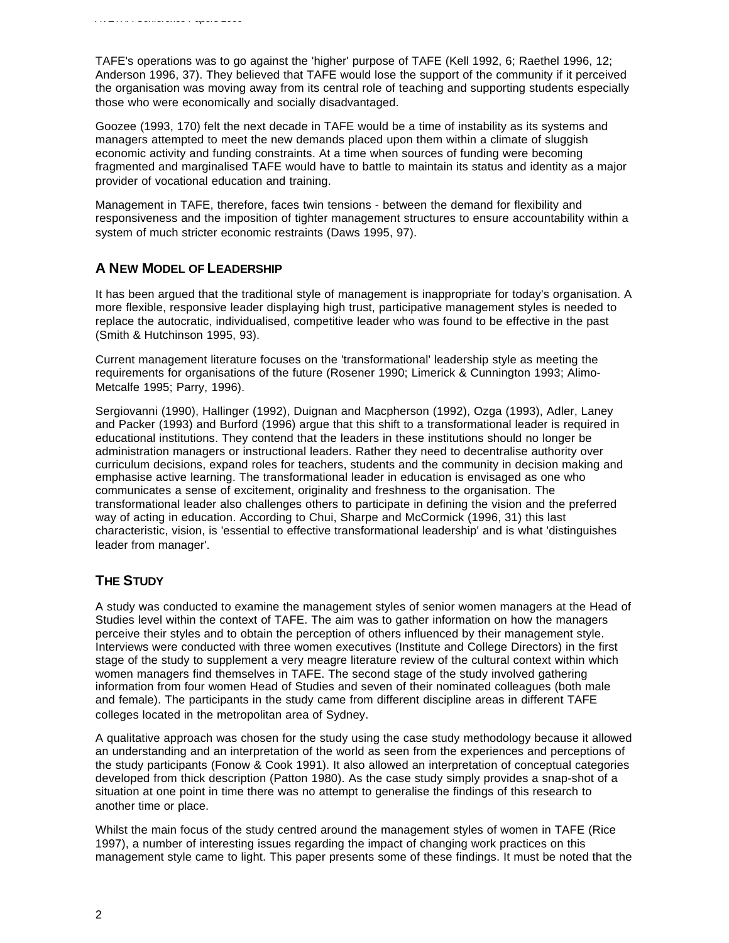TAFE's operations was to go against the 'higher' purpose of TAFE (Kell 1992, 6; Raethel 1996, 12; Anderson 1996, 37). They believed that TAFE would lose the support of the community if it perceived the organisation was moving away from its central role of teaching and supporting students especially those who were economically and socially disadvantaged.

Goozee (1993, 170) felt the next decade in TAFE would be a time of instability as its systems and managers attempted to meet the new demands placed upon them within a climate of sluggish economic activity and funding constraints. At a time when sources of funding were becoming fragmented and marginalised TAFE would have to battle to maintain its status and identity as a major provider of vocational education and training.

Management in TAFE, therefore, faces twin tensions - between the demand for flexibility and responsiveness and the imposition of tighter management structures to ensure accountability within a system of much stricter economic restraints (Daws 1995, 97).

## **A NEW MODEL OF LEADERSHIP**

It has been argued that the traditional style of management is inappropriate for today's organisation. A more flexible, responsive leader displaying high trust, participative management styles is needed to replace the autocratic, individualised, competitive leader who was found to be effective in the past (Smith & Hutchinson 1995, 93).

Current management literature focuses on the 'transformational' leadership style as meeting the requirements for organisations of the future (Rosener 1990; Limerick & Cunnington 1993; Alimo-Metcalfe 1995; Parry, 1996).

Sergiovanni (1990), Hallinger (1992), Duignan and Macpherson (1992), Ozga (1993), Adler, Laney and Packer (1993) and Burford (1996) argue that this shift to a transformational leader is required in educational institutions. They contend that the leaders in these institutions should no longer be administration managers or instructional leaders. Rather they need to decentralise authority over curriculum decisions, expand roles for teachers, students and the community in decision making and emphasise active learning. The transformational leader in education is envisaged as one who communicates a sense of excitement, originality and freshness to the organisation. The transformational leader also challenges others to participate in defining the vision and the preferred way of acting in education. According to Chui, Sharpe and McCormick (1996, 31) this last characteristic, vision, is 'essential to effective transformational leadership' and is what 'distinguishes leader from manager'.

## **THE STUDY**

A study was conducted to examine the management styles of senior women managers at the Head of Studies level within the context of TAFE. The aim was to gather information on how the managers perceive their styles and to obtain the perception of others influenced by their management style. Interviews were conducted with three women executives (Institute and College Directors) in the first stage of the study to supplement a very meagre literature review of the cultural context within which women managers find themselves in TAFE. The second stage of the study involved gathering information from four women Head of Studies and seven of their nominated colleagues (both male and female). The participants in the study came from different discipline areas in different TAFE colleges located in the metropolitan area of Sydney.

A qualitative approach was chosen for the study using the case study methodology because it allowed an understanding and an interpretation of the world as seen from the experiences and perceptions of the study participants (Fonow & Cook 1991). It also allowed an interpretation of conceptual categories developed from thick description (Patton 1980). As the case study simply provides a snap-shot of a situation at one point in time there was no attempt to generalise the findings of this research to another time or place.

Whilst the main focus of the study centred around the management styles of women in TAFE (Rice 1997), a number of interesting issues regarding the impact of changing work practices on this management style came to light. This paper presents some of these findings. It must be noted that the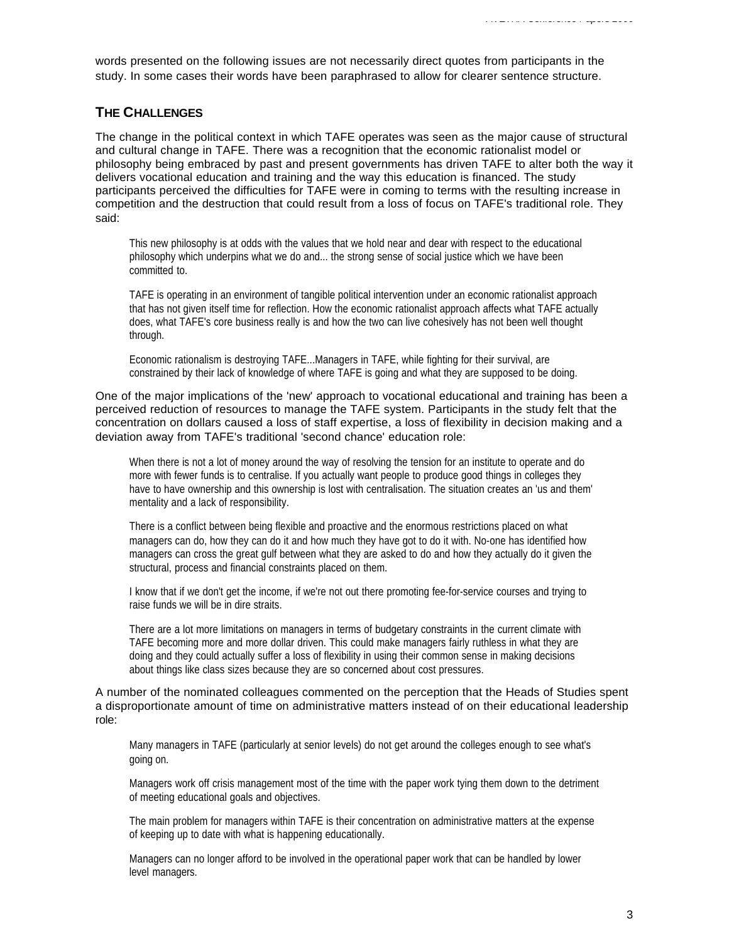words presented on the following issues are not necessarily direct quotes from participants in the study. In some cases their words have been paraphrased to allow for clearer sentence structure.

## **THE CHALLENGES**

The change in the political context in which TAFE operates was seen as the major cause of structural and cultural change in TAFE. There was a recognition that the economic rationalist model or philosophy being embraced by past and present governments has driven TAFE to alter both the way it delivers vocational education and training and the way this education is financed. The study participants perceived the difficulties for TAFE were in coming to terms with the resulting increase in competition and the destruction that could result from a loss of focus on TAFE's traditional role. They said:

This new philosophy is at odds with the values that we hold near and dear with respect to the educational philosophy which underpins what we do and... the strong sense of social justice which we have been committed to.

TAFE is operating in an environment of tangible political intervention under an economic rationalist approach that has not given itself time for reflection. How the economic rationalist approach affects what TAFE actually does, what TAFE's core business really is and how the two can live cohesively has not been well thought through.

Economic rationalism is destroying TAFE...Managers in TAFE, while fighting for their survival, are constrained by their lack of knowledge of where TAFE is going and what they are supposed to be doing.

One of the major implications of the 'new' approach to vocational educational and training has been a perceived reduction of resources to manage the TAFE system. Participants in the study felt that the concentration on dollars caused a loss of staff expertise, a loss of flexibility in decision making and a deviation away from TAFE's traditional 'second chance' education role:

When there is not a lot of money around the way of resolving the tension for an institute to operate and do more with fewer funds is to centralise. If you actually want people to produce good things in colleges they have to have ownership and this ownership is lost with centralisation. The situation creates an 'us and them' mentality and a lack of responsibility.

There is a conflict between being flexible and proactive and the enormous restrictions placed on what managers can do, how they can do it and how much they have got to do it with. No-one has identified how managers can cross the great gulf between what they are asked to do and how they actually do it given the structural, process and financial constraints placed on them.

I know that if we don't get the income, if we're not out there promoting fee-for-service courses and trying to raise funds we will be in dire straits.

There are a lot more limitations on managers in terms of budgetary constraints in the current climate with TAFE becoming more and more dollar driven. This could make managers fairly ruthless in what they are doing and they could actually suffer a loss of flexibility in using their common sense in making decisions about things like class sizes because they are so concerned about cost pressures.

#### A number of the nominated colleagues commented on the perception that the Heads of Studies spent a disproportionate amount of time on administrative matters instead of on their educational leadership role:

Many managers in TAFE (particularly at senior levels) do not get around the colleges enough to see what's going on.

Managers work off crisis management most of the time with the paper work tying them down to the detriment of meeting educational goals and objectives.

The main problem for managers within TAFE is their concentration on administrative matters at the expense of keeping up to date with what is happening educationally.

Managers can no longer afford to be involved in the operational paper work that can be handled by lower level managers.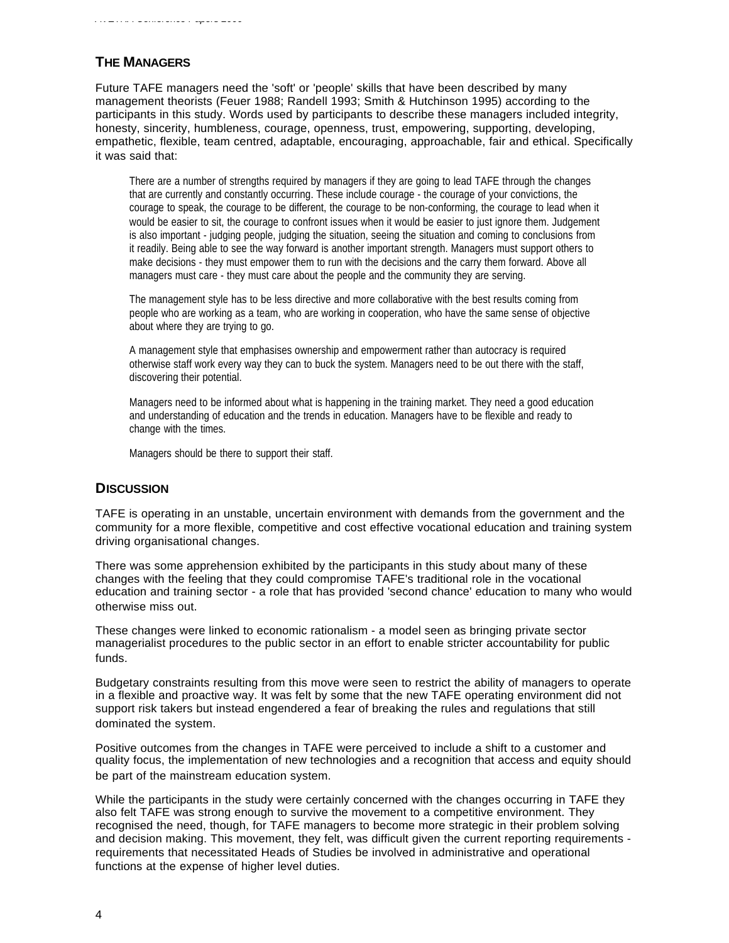# **THE MANAGERS**

Future TAFE managers need the 'soft' or 'people' skills that have been described by many management theorists (Feuer 1988; Randell 1993; Smith & Hutchinson 1995) according to the participants in this study. Words used by participants to describe these managers included integrity, honesty, sincerity, humbleness, courage, openness, trust, empowering, supporting, developing, empathetic, flexible, team centred, adaptable, encouraging, approachable, fair and ethical. Specifically it was said that:

There are a number of strengths required by managers if they are going to lead TAFE through the changes that are currently and constantly occurring. These include courage - the courage of your convictions, the courage to speak, the courage to be different, the courage to be non-conforming, the courage to lead when it would be easier to sit, the courage to confront issues when it would be easier to just ignore them. Judgement is also important - judging people, judging the situation, seeing the situation and coming to conclusions from it readily. Being able to see the way forward is another important strength. Managers must support others to make decisions - they must empower them to run with the decisions and the carry them forward. Above all managers must care - they must care about the people and the community they are serving.

The management style has to be less directive and more collaborative with the best results coming from people who are working as a team, who are working in cooperation, who have the same sense of objective about where they are trying to go.

A management style that emphasises ownership and empowerment rather than autocracy is required otherwise staff work every way they can to buck the system. Managers need to be out there with the staff, discovering their potential.

Managers need to be informed about what is happening in the training market. They need a good education and understanding of education and the trends in education. Managers have to be flexible and ready to change with the times.

Managers should be there to support their staff.

#### **DISCUSSION**

TAFE is operating in an unstable, uncertain environment with demands from the government and the community for a more flexible, competitive and cost effective vocational education and training system driving organisational changes.

There was some apprehension exhibited by the participants in this study about many of these changes with the feeling that they could compromise TAFE's traditional role in the vocational education and training sector - a role that has provided 'second chance' education to many who would otherwise miss out.

These changes were linked to economic rationalism - a model seen as bringing private sector managerialist procedures to the public sector in an effort to enable stricter accountability for public funds.

Budgetary constraints resulting from this move were seen to restrict the ability of managers to operate in a flexible and proactive way. It was felt by some that the new TAFE operating environment did not support risk takers but instead engendered a fear of breaking the rules and regulations that still dominated the system.

Positive outcomes from the changes in TAFE were perceived to include a shift to a customer and quality focus, the implementation of new technologies and a recognition that access and equity should be part of the mainstream education system.

While the participants in the study were certainly concerned with the changes occurring in TAFE they also felt TAFE was strong enough to survive the movement to a competitive environment. They recognised the need, though, for TAFE managers to become more strategic in their problem solving and decision making. This movement, they felt, was difficult given the current reporting requirements requirements that necessitated Heads of Studies be involved in administrative and operational functions at the expense of higher level duties.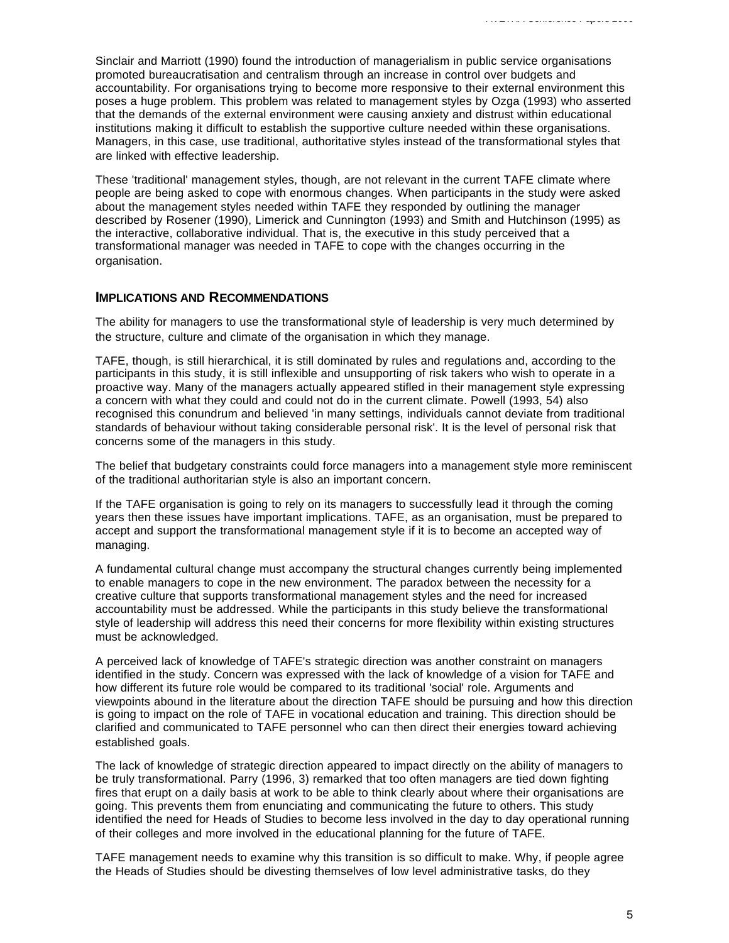Sinclair and Marriott (1990) found the introduction of managerialism in public service organisations promoted bureaucratisation and centralism through an increase in control over budgets and accountability. For organisations trying to become more responsive to their external environment this poses a huge problem. This problem was related to management styles by Ozga (1993) who asserted that the demands of the external environment were causing anxiety and distrust within educational institutions making it difficult to establish the supportive culture needed within these organisations. Managers, in this case, use traditional, authoritative styles instead of the transformational styles that are linked with effective leadership.

These 'traditional' management styles, though, are not relevant in the current TAFE climate where people are being asked to cope with enormous changes. When participants in the study were asked about the management styles needed within TAFE they responded by outlining the manager described by Rosener (1990), Limerick and Cunnington (1993) and Smith and Hutchinson (1995) as the interactive, collaborative individual. That is, the executive in this study perceived that a transformational manager was needed in TAFE to cope with the changes occurring in the organisation.

#### **IMPLICATIONS AND RECOMMENDATIONS**

The ability for managers to use the transformational style of leadership is very much determined by the structure, culture and climate of the organisation in which they manage.

TAFE, though, is still hierarchical, it is still dominated by rules and regulations and, according to the participants in this study, it is still inflexible and unsupporting of risk takers who wish to operate in a proactive way. Many of the managers actually appeared stifled in their management style expressing a concern with what they could and could not do in the current climate. Powell (1993, 54) also recognised this conundrum and believed 'in many settings, individuals cannot deviate from traditional standards of behaviour without taking considerable personal risk'. It is the level of personal risk that concerns some of the managers in this study.

The belief that budgetary constraints could force managers into a management style more reminiscent of the traditional authoritarian style is also an important concern.

If the TAFE organisation is going to rely on its managers to successfully lead it through the coming years then these issues have important implications. TAFE, as an organisation, must be prepared to accept and support the transformational management style if it is to become an accepted way of managing.

A fundamental cultural change must accompany the structural changes currently being implemented to enable managers to cope in the new environment. The paradox between the necessity for a creative culture that supports transformational management styles and the need for increased accountability must be addressed. While the participants in this study believe the transformational style of leadership will address this need their concerns for more flexibility within existing structures must be acknowledged.

A perceived lack of knowledge of TAFE's strategic direction was another constraint on managers identified in the study. Concern was expressed with the lack of knowledge of a vision for TAFE and how different its future role would be compared to its traditional 'social' role. Arguments and viewpoints abound in the literature about the direction TAFE should be pursuing and how this direction is going to impact on the role of TAFE in vocational education and training. This direction should be clarified and communicated to TAFE personnel who can then direct their energies toward achieving established goals.

The lack of knowledge of strategic direction appeared to impact directly on the ability of managers to be truly transformational. Parry (1996, 3) remarked that too often managers are tied down fighting fires that erupt on a daily basis at work to be able to think clearly about where their organisations are going. This prevents them from enunciating and communicating the future to others. This study identified the need for Heads of Studies to become less involved in the day to day operational running of their colleges and more involved in the educational planning for the future of TAFE.

TAFE management needs to examine why this transition is so difficult to make. Why, if people agree the Heads of Studies should be divesting themselves of low level administrative tasks, do they